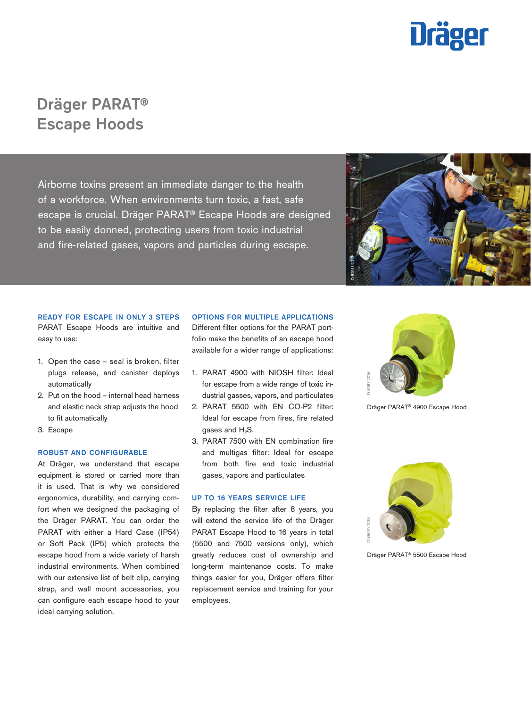

# Dräger PARAT® Escape Hoods

Airborne toxins present an immediate danger to the health of a workforce. When environments turn toxic, a fast, safe escape is crucial. Dräger PARAT® Escape Hoods are designed to be easily donned, protecting users from toxic industrial and fire-related gases, vapors and particles during escape.



### READY FOR ESCAPE IN ONLY 3 STEPS

PARAT Escape Hoods are intuitive and easy to use:

- 1. Open the case seal is broken, filter plugs release, and canister deploys automatically
- 2. Put on the hood internal head harness and elastic neck strap adjusts the hood to fit automatically
- 3. Escape

## ROBUST AND CONFIGURABLE

At Dräger, we understand that escape equipment is stored or carried more than it is used. That is why we considered ergonomics, durability, and carrying comfort when we designed the packaging of the Dräger PARAT. You can order the PARAT with either a Hard Case (IP54) or Soft Pack (IP5) which protects the escape hood from a wide variety of harsh industrial environments. When combined with our extensive list of belt clip, carrying strap, and wall mount accessories, you can configure each escape hood to your ideal carrying solution.

## OPTIONS FOR MULTIPLE APPLICATIONS

Different filter options for the PARAT portfolio make the benefits of an escape hood available for a wider range of applications:

- 1. PARAT 4900 with NIOSH filter: Ideal for escape from a wide range of toxic industrial gasses, vapors, and particulates
- 2. PARAT 5500 with EN CO-P2 filter: Ideal for escape from fires, fire related gases and H<sub>2</sub>S.
- 3. PARAT 7500 with EN combination fire and multigas filter: Ideal for escape from both fire and toxic industrial gases, vapors and particulates

## UP TO 16 YEARS SERVICE LIFE

By replacing the filter after 8 years, you will extend the service life of the Dräger PARAT Escape Hood to 16 years in total (5500 and 7500 versions only), which greatly reduces cost of ownership and long-term maintenance costs. To make things easier for you, Dräger offers filter replacement service and training for your employees.



Dräger PARAT® 4900 Escape Hood



Dräger PARAT® 5500 Escape Hood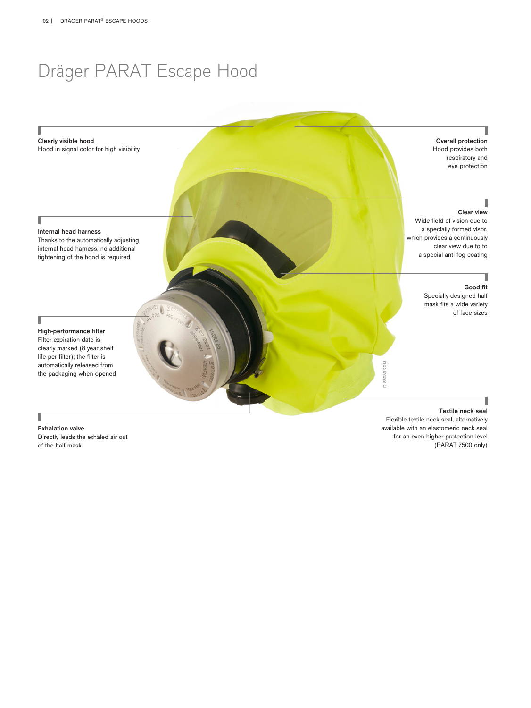# Dräger PARAT Escape Hood

# Overall protection Hood provides both respiratory and eye protection

## Clear view

Wide field of vision due to a specially formed visor, which provides a continuously clear view due to to a special anti-fog coating

# Good fit

1

Specially designed half mask fits a wide variety of face sizes

# Internal head harness

Clearly visible hood

Ī

л

Thanks to the automatically adjusting internal head harness, no additional tightening of the hood is required

Hood in signal color for high visibility

# Τ

High-performance filter Filter expiration date is clearly marked (8 year shelf life per filter); the filter is automatically released from the packaging when opened

# Exhalation valve

I

Directly leads the exhaled air out of the half mask

# Textile neck seal

Flexible textile neck seal, alternatively available with an elastomeric neck seal for an even higher protection level (PARAT 7500 only)

D-85039-2013

D-85039-2013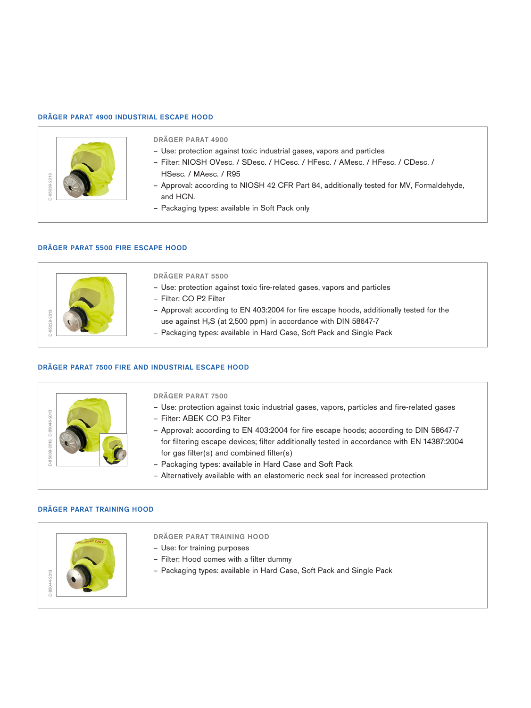# DRÄGER PARAT 4900 INDUSTRIAL ESCAPE HOOD



# DRÄGER PARAT 4900

- Use: protection against toxic industrial gases, vapors and particles
- Filter: NIOSH OVesc. / SDesc. / HCesc. / HFesc. / AMesc. / HFesc. / CDesc. / HSesc. / MAesc. / R95
- Approval: according to NIOSH 42 CFR Part 84, additionally tested for MV, Formaldehyde, and HCN.
- Packaging types: available in Soft Pack only

# DRÄGER PARAT 5500 FIRE ESCAPE HOOD



# DRÄGER PARAT 5500

- Use: protection against toxic fire-related gases, vapors and particles
- Filter: CO P2 Filter
- Approval: according to EN 403:2004 for fire escape hoods, additionally tested for the use against  $H_2S$  (at 2,500 ppm) in accordance with DIN 58647-7
- Packaging types: available in Hard Case, Soft Pack and Single Pack

# DRÄGER PARAT 7500 FIRE AND INDUSTRIAL ESCAPE HOOD



# DRÄGER PARAT 7500

- Use: protection against toxic industrial gases, vapors, particles and fire-related gases
- Filter: ABEK CO P3 Filter
- Approval: according to EN 403:2004 for fire escape hoods; according to DIN 58647-7 for filtering escape devices; filter additionally tested in accordance with EN 14387:2004 for gas filter(s) and combined filter(s)
- Packaging types: available in Hard Case and Soft Pack
- Alternatively available with an elastomeric neck seal for increased protection



# DRÄGER PARAT TRAINING HOOD

- Use: for training purposes
- Filter: Hood comes with a filter dummy
- Packaging types: available in Hard Case, Soft Pack and Single Pack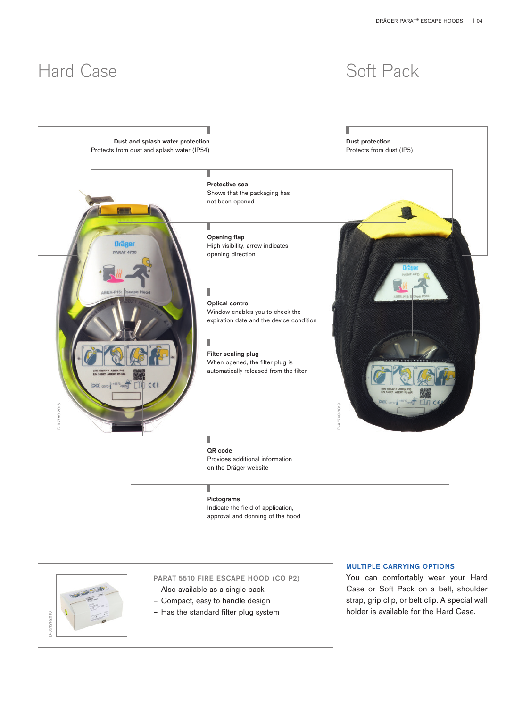# Hard Case Soft Pack



Indicate the field of application, approval and donning of the hood



# PARAT 5510 FIRE ESCAPE HOOD (CO P2)

- Also available as a single pack
- Compact, easy to handle design
- Has the standard filter plug system

## MULTIPLE CARRYING OPTIONS

You can comfortably wear your Hard Case or Soft Pack on a belt, shoulder strap, grip clip, or belt clip. A special wall holder is available for the Hard Case.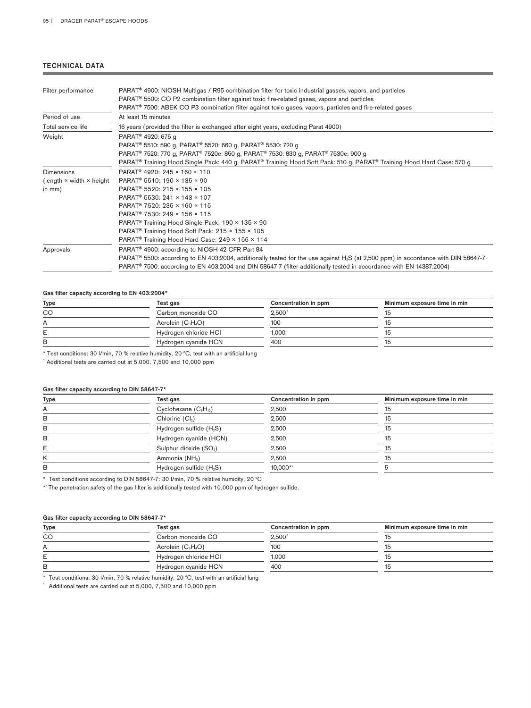# TECHNICAL DATA

| Filter performance        | PARAT <sup>®</sup> 4900: NIOSH Multigas / R95 combination filter for toxic industrial gasses, vapors, and particles                                       |  |  |
|---------------------------|-----------------------------------------------------------------------------------------------------------------------------------------------------------|--|--|
|                           | PARAT <sup>®</sup> 5500: CO P2 combination filter against toxic fire-related gases, vapors and particles                                                  |  |  |
|                           | PARAT <sup>®</sup> 7500: ABEK CO P3 combination filter against toxic gases, vapors, particles and fire-related gases                                      |  |  |
| Period of use             | At least 15 minutes                                                                                                                                       |  |  |
| Total service life        | 16 years (provided the filter is exchanged after eight years, excluding Parat 4900)                                                                       |  |  |
| Weight                    | PARAT <sup>®</sup> 4920: 675 g                                                                                                                            |  |  |
|                           | PARAT <sup>®</sup> 5510: 590 g, PARAT <sup>®</sup> 5520: 660 g, PARAT <sup>®</sup> 5530: 720 g                                                            |  |  |
|                           | PARAT® 7520: 770 g, PARAT® 7520e: 850 g, PARAT® 7530: 830 g, PARAT® 7530e: 900 g                                                                          |  |  |
|                           | PARAT <sup>®</sup> Training Hood Single Pack: 440 g, PARAT <sup>®</sup> Training Hood Soft Pack: 510 g, PARAT <sup>®</sup> Training Hood Hard Case: 570 g |  |  |
| <b>Dimensions</b>         | PARAT <sup>®</sup> 4920: 245 × 160 × 110                                                                                                                  |  |  |
| (length × width × height) | PARAT <sup>®</sup> 5510: 190 × 135 × 90                                                                                                                   |  |  |
| in mm)                    | PARAT <sup>®</sup> 5520: 215 × 155 × 105                                                                                                                  |  |  |
|                           | PARAT <sup>®</sup> 5530: 241 × 143 × 107                                                                                                                  |  |  |
|                           | PARAT <sup>®</sup> 7520: 235 × 160 × 115                                                                                                                  |  |  |
|                           | PARAT <sup>®</sup> 7530: 249 × 156 × 115                                                                                                                  |  |  |
|                           | PARAT <sup>®</sup> Training Hood Single Pack: 190 × 135 × 90                                                                                              |  |  |
|                           | PARAT® Training Hood Soft Pack: 215 × 155 × 105                                                                                                           |  |  |
|                           | PARAT <sup>®</sup> Training Hood Hard Case: 249 × 156 × 114                                                                                               |  |  |
| Approvals                 | PARAT <sup>®</sup> 4900: according to NIOSH 42 CFR Part 84                                                                                                |  |  |
|                           | PARAT <sup>®</sup> 5500: according to EN 403:2004, additionally tested for the use against H <sub>2</sub> S (at 2,500 ppm) in accordance with DIN 58647-7 |  |  |
|                           | PARAT <sup>®</sup> 7500: according to EN 403:2004 and DIN 58647-7 (filter additionally tested in accordance with EN 14387:2004)                           |  |  |

# Gas filter capacity according to EN 403:2004\*

| Type | Test gas              | Concentration in ppm | Minimum exposure time in min |
|------|-----------------------|----------------------|------------------------------|
| CO   | Carbon monoxide CO    | 2.500 <sup>1</sup>   |                              |
| A    | Acrolein $(C_3H_4O)$  | 100                  |                              |
|      | Hydrogen chloride HCI | 1.000                |                              |
| B    | Hydrogen cyanide HCN  | 400                  | 15                           |

\* Test conditions: 30 l/min, 70 % relative humidity, 20 °C, test with an artificial lung

<sup>1</sup> Additional tests are carried out at 5,000, 7,500 and 10,000 ppm

### Gas filter capacity according to DIN 58647-7\*

| Test gas                            | Concentration in ppm | Minimum exposure time in min |
|-------------------------------------|----------------------|------------------------------|
| Cyclohexane $(C_6H_{12})$           | 2,500                | 15                           |
| Chlorine (Cl2)                      | 2,500                | 15                           |
| Hydrogen sulfide (H <sub>2</sub> S) | 2,500                | 15                           |
| Hydrogen cyanide (HCN)              | 2,500                | 15                           |
| Sulphur dioxide (SO <sub>2</sub> )  | 2,500                | 15                           |
| Ammonia (NH <sub>3</sub> )          | 2,500                | 15                           |
| Hydrogen sulfide $(H_2S)$           | $10.000*$            |                              |
|                                     |                      |                              |

\* Test conditions according to DIN 58647-7: 30 l/min, 70 % relative humidity, 20 °C

\*) The penetration safety of the gas filter is additionally tested with 10,000 ppm of hydrogen sulfide.

# Gas filter capacity according to DIN 58647-7\*

| <b>Type</b>  | Test gas              | Concentration in ppm  | Minimum exposure time in min |
|--------------|-----------------------|-----------------------|------------------------------|
| CO           | Carbon monoxide CO    | $2.500^{\frac{1}{2}}$ |                              |
| $\mathsf{A}$ | Acrolein $(C_3H_4O)$  | 100                   |                              |
|              | Hydrogen chloride HCI | 1.000                 |                              |
| в            | Hydrogen cyanide HCN  | 400                   |                              |

\* Test conditions: 30 l/min, 70 % relative humidity, 20 °C, test with an artificial lung

<sup>1</sup> Additional tests are carried out at 5,000, 7,500 and 10,000 ppm